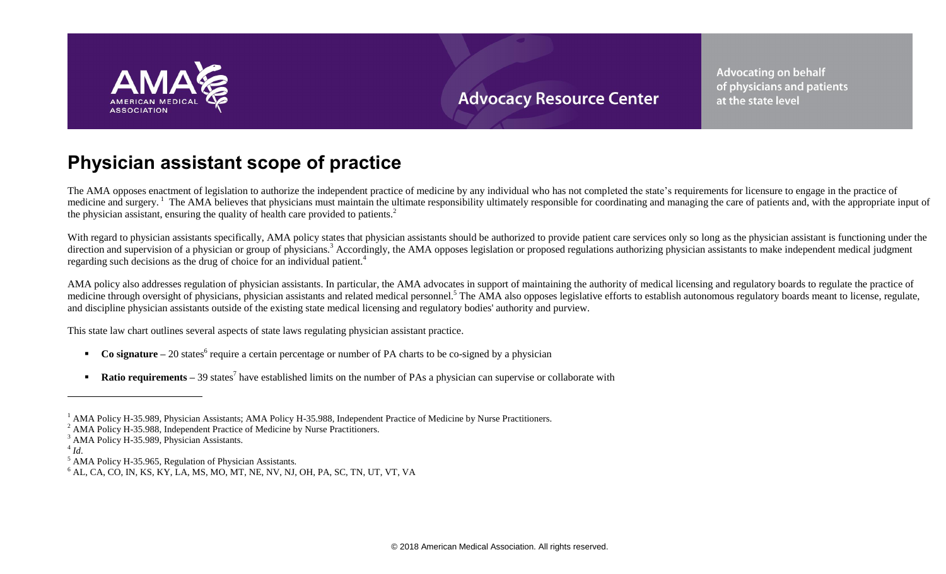

**Advocating on behalf** of physicians and patients at the state level

# **Physician assistant scope of practice**

The AMA opposes enactment of legislation to authorize the independent practice of medicine by any individual who has not completed the state's requirements for licensure to engage in the practice of medicine and surgery.<sup>1</sup> The AMA believes that physicians must maintain the ultimate responsibility ultimately responsible for coordinating and managing the care of patients and, with the appropriate input of the physician assistant, ensuring the quality of health care provided to patients.<sup>2</sup>

With regard to physician assistants specifically, AMA policy states that physician assistants should be authorized to provide patient care services only so long as the physician assistant is functioning under the direction and supervision of a physician or group of physicians.<sup>3</sup> Accordingly, the AMA opposes legislation or proposed regulations authorizing physician assistants to make independent medical judgment regarding such decisions as the drug of choice for an individual patient.<sup>4</sup>

AMA policy also addresses regulation of physician assistants. In particular, the AMA advocates in support of maintaining the authority of medical licensing and regulatory boards to regulate the practice of medicine through oversight of physicians, physician assistants and related medical personnel.<sup>5</sup> The AMA also opposes legislative efforts to establish autonomous regulatory boards meant to license, regulate, and discipline physician assistants outside of the existing state medical licensing and regulatory bodies' authority and purview.

This state law chart outlines several aspects of state laws regulating physician assistant practice.

- **Co signature** 20 states<sup>6</sup> require a certain percentage or number of PA charts to be co-signed by a physician
- **Ratio requirements** 39 states<sup>7</sup> have established limits on the number of PAs a physician can supervise or collaborate with

 $\overline{a}$ 

<sup>&</sup>lt;sup>1</sup> AMA Policy H-35.989, Physician Assistants; AMA Policy H-35.988, Independent Practice of Medicine by Nurse Practitioners.

<sup>&</sup>lt;sup>2</sup> AMA Policy H-35.988, Independent Practice of Medicine by Nurse Practitioners.

<sup>&</sup>lt;sup>3</sup> AMA Policy H-35.989, Physician Assistants.

<sup>4</sup> *Id*.

<sup>5</sup> AMA Policy H-35.965, Regulation of Physician Assistants.

 $^6$  AL, CA, CO, IN, KS, KY, LA, MS, MO, MT, NE, NV, NJ, OH, PA, SC, TN, UT, VT, VA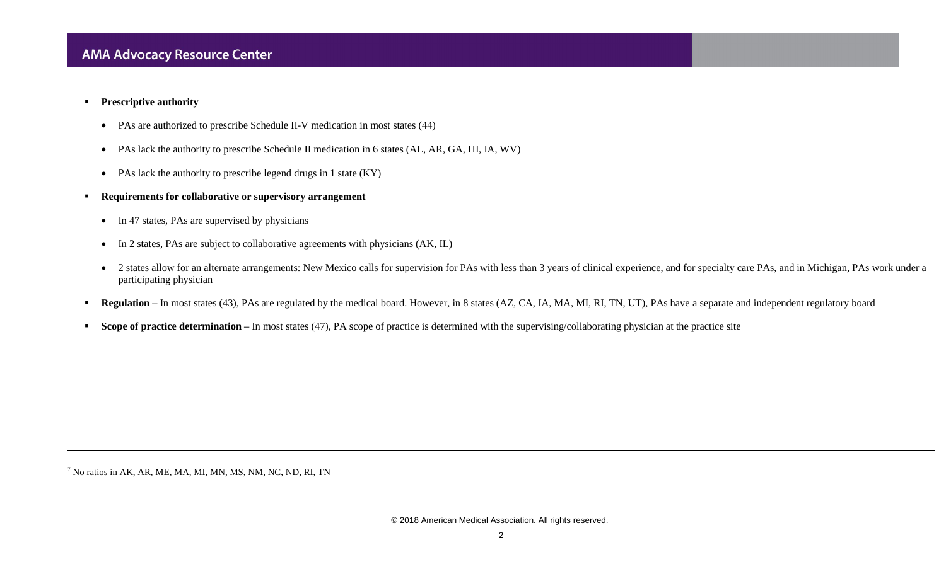- **Prescriptive authority** 
	- PAs are authorized to prescribe Schedule II-V medication in most states (44)
	- PAs lack the authority to prescribe Schedule II medication in 6 states (AL, AR, GA, HI, IA, WV)
	- PAs lack the authority to prescribe legend drugs in 1 state (KY)
- **Requirements for collaborative or supervisory arrangement**
	- In 47 states, PAs are supervised by physicians
	- In 2 states, PAs are subject to collaborative agreements with physicians (AK, IL)
	- 2 states allow for an alternate arrangements: New Mexico calls for supervision for PAs with less than 3 years of clinical experience, and for specialty care PAs, and in Michigan, PAs work under a participating physician
- **Regulation** In most states (43), PAs are regulated by the medical board. However, in 8 states (AZ, CA, IA, MA, MI, RI, TN, UT), PAs have a separate and independent regulatory board
- **Scope of practice determination** In most states (47), PA scope of practice is determined with the supervising/collaborating physician at the practice site

 $<sup>7</sup>$  No ratios in AK, AR, ME, MA, MI, MN, MS, NM, NC, ND, RI, TN</sup>

l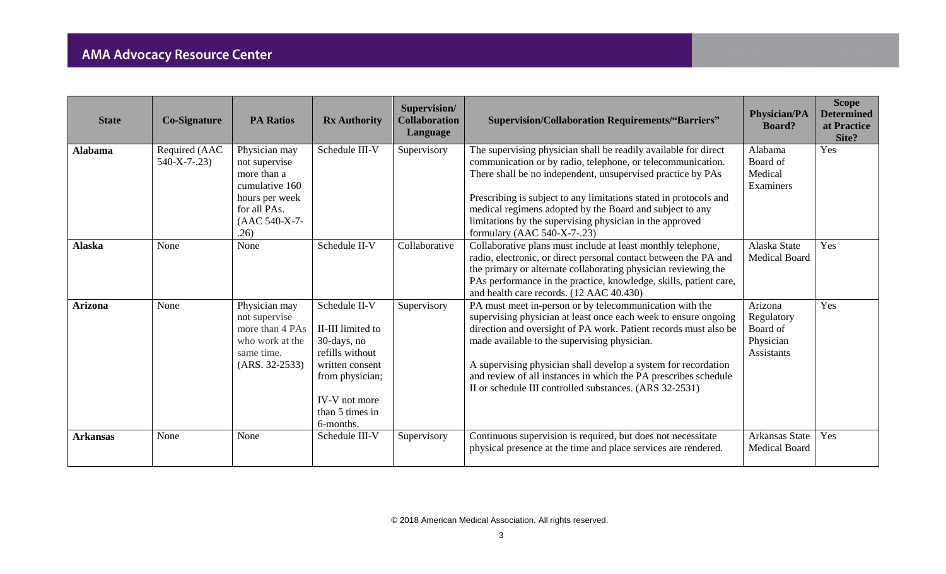| <b>State</b>    | <b>Co-Signature</b>             | <b>PA Ratios</b>                                                                                                           | <b>Rx Authority</b>                                                                                                                                         | Supervision/<br><b>Collaboration</b><br>Language | <b>Supervision/Collaboration Requirements/"Barriers"</b>                                                                                                                                                                                                                                                                                                                                                                                       | <b>Physician/PA</b><br><b>Board?</b>                         | <b>Scope</b><br><b>Determined</b><br>at Practice<br>Site? |
|-----------------|---------------------------------|----------------------------------------------------------------------------------------------------------------------------|-------------------------------------------------------------------------------------------------------------------------------------------------------------|--------------------------------------------------|------------------------------------------------------------------------------------------------------------------------------------------------------------------------------------------------------------------------------------------------------------------------------------------------------------------------------------------------------------------------------------------------------------------------------------------------|--------------------------------------------------------------|-----------------------------------------------------------|
| <b>Alabama</b>  | Required (AAC<br>$540-X-7-0.23$ | Physician may<br>not supervise<br>more than a<br>cumulative 160<br>hours per week<br>for all PAs.<br>(AAC 540-X-7-<br>.26) | Schedule III-V                                                                                                                                              | Supervisory                                      | The supervising physician shall be readily available for direct<br>communication or by radio, telephone, or telecommunication.<br>There shall be no independent, unsupervised practice by PAs<br>Prescribing is subject to any limitations stated in protocols and<br>medical regimens adopted by the Board and subject to any<br>limitations by the supervising physician in the approved<br>formulary (AAC $540-X-7-23$ )                    | Alabama<br>Board of<br>Medical<br>Examiners                  | Yes                                                       |
| <b>Alaska</b>   | None                            | None                                                                                                                       | Schedule II-V                                                                                                                                               | Collaborative                                    | Collaborative plans must include at least monthly telephone,<br>radio, electronic, or direct personal contact between the PA and<br>the primary or alternate collaborating physician reviewing the<br>PAs performance in the practice, knowledge, skills, patient care,<br>and health care records. (12 AAC 40.430)                                                                                                                            | Alaska State<br><b>Medical Board</b>                         | Yes                                                       |
| <b>Arizona</b>  | None                            | Physician may<br>not supervise<br>more than 4 PAs<br>who work at the<br>same time.<br>$(ARS. 32-2533)$                     | Schedule II-V<br>II-III limited to<br>30-days, no<br>refills without<br>written consent<br>from physician;<br>IV-V not more<br>than 5 times in<br>6-months. | Supervisory                                      | PA must meet in-person or by telecommunication with the<br>supervising physician at least once each week to ensure ongoing<br>direction and oversight of PA work. Patient records must also be<br>made available to the supervising physician.<br>A supervising physician shall develop a system for recordation<br>and review of all instances in which the PA prescribes schedule<br>II or schedule III controlled substances. (ARS 32-2531) | Arizona<br>Regulatory<br>Board of<br>Physician<br>Assistants | Yes                                                       |
| <b>Arkansas</b> | None                            | None                                                                                                                       | Schedule III-V                                                                                                                                              | Supervisory                                      | Continuous supervision is required, but does not necessitate<br>physical presence at the time and place services are rendered.                                                                                                                                                                                                                                                                                                                 | <b>Arkansas State</b><br><b>Medical Board</b>                | Yes                                                       |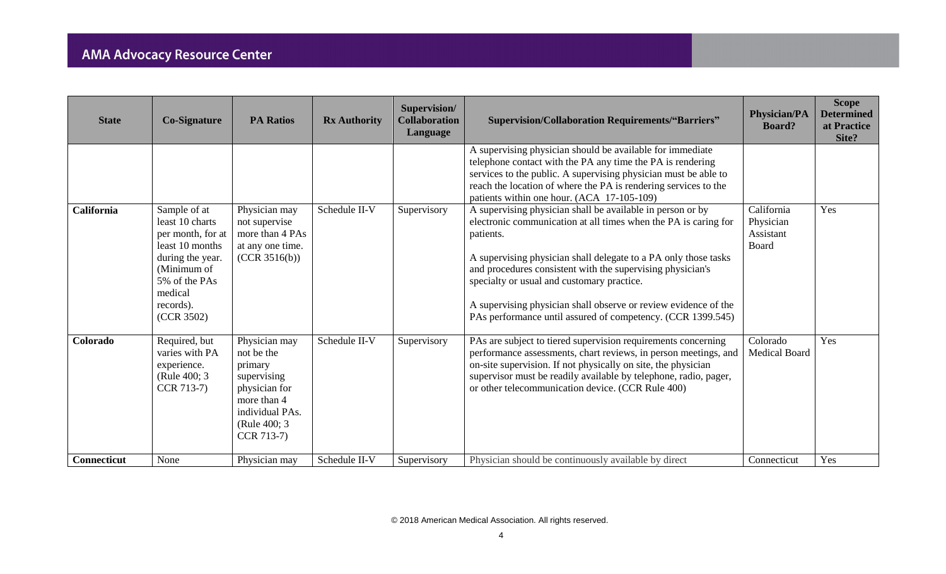| <b>State</b>       | <b>Co-Signature</b>                                                                                                                                               | <b>PA Ratios</b>                                                                                                                        | <b>Rx Authority</b> | Supervision/<br><b>Collaboration</b><br>Language | <b>Supervision/Collaboration Requirements/"Barriers"</b>                                                                                                                                                                                                                                                                                                                                                                                                    | <b>Physician/PA</b><br><b>Board?</b>          | <b>Scope</b><br><b>Determined</b><br>at Practice<br>Site? |
|--------------------|-------------------------------------------------------------------------------------------------------------------------------------------------------------------|-----------------------------------------------------------------------------------------------------------------------------------------|---------------------|--------------------------------------------------|-------------------------------------------------------------------------------------------------------------------------------------------------------------------------------------------------------------------------------------------------------------------------------------------------------------------------------------------------------------------------------------------------------------------------------------------------------------|-----------------------------------------------|-----------------------------------------------------------|
|                    |                                                                                                                                                                   |                                                                                                                                         |                     |                                                  | A supervising physician should be available for immediate<br>telephone contact with the PA any time the PA is rendering<br>services to the public. A supervising physician must be able to<br>reach the location of where the PA is rendering services to the<br>patients within one hour. (ACA 17-105-109)                                                                                                                                                 |                                               |                                                           |
| California         | Sample of at<br>least 10 charts<br>per month, for at<br>least 10 months<br>during the year.<br>(Minimum of<br>5% of the PAs<br>medical<br>records).<br>(CCR 3502) | Physician may<br>not supervise<br>more than 4 PAs<br>at any one time.<br>(CCR 3516(b))                                                  | Schedule II-V       | Supervisory                                      | A supervising physician shall be available in person or by<br>electronic communication at all times when the PA is caring for<br>patients.<br>A supervising physician shall delegate to a PA only those tasks<br>and procedures consistent with the supervising physician's<br>specialty or usual and customary practice.<br>A supervising physician shall observe or review evidence of the<br>PAs performance until assured of competency. (CCR 1399.545) | California<br>Physician<br>Assistant<br>Board | Yes                                                       |
| Colorado           | Required, but<br>varies with PA<br>experience.<br>(Rule 400; 3)<br>CCR 713-7)                                                                                     | Physician may<br>not be the<br>primary<br>supervising<br>physician for<br>more than 4<br>individual PAs.<br>(Rule 400; 3)<br>CCR 713-7) | Schedule II-V       | Supervisory                                      | PAs are subject to tiered supervision requirements concerning<br>performance assessments, chart reviews, in person meetings, and<br>on-site supervision. If not physically on site, the physician<br>supervisor must be readily available by telephone, radio, pager,<br>or other telecommunication device. (CCR Rule 400)                                                                                                                                  | Colorado<br><b>Medical Board</b>              | Yes                                                       |
| <b>Connecticut</b> | None                                                                                                                                                              | Physician may                                                                                                                           | Schedule II-V       | Supervisory                                      | Physician should be continuously available by direct                                                                                                                                                                                                                                                                                                                                                                                                        | Connecticut                                   | Yes                                                       |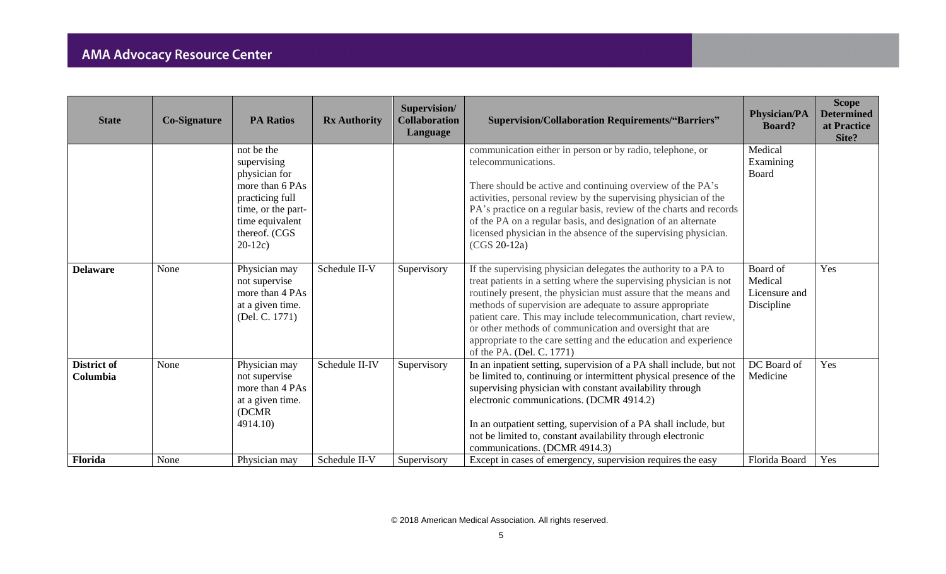| <b>State</b>                   | <b>Co-Signature</b> | <b>PA Ratios</b>                                                                                                                                         | <b>Rx Authority</b> | Supervision/<br><b>Collaboration</b><br>Language | <b>Supervision/Collaboration Requirements/"Barriers"</b>                                                                                                                                                                                                                                                                                                                                                                                                                                              | <b>Physician/PA</b><br><b>Board?</b>               | <b>Scope</b><br><b>Determined</b><br>at Practice<br>Site? |
|--------------------------------|---------------------|----------------------------------------------------------------------------------------------------------------------------------------------------------|---------------------|--------------------------------------------------|-------------------------------------------------------------------------------------------------------------------------------------------------------------------------------------------------------------------------------------------------------------------------------------------------------------------------------------------------------------------------------------------------------------------------------------------------------------------------------------------------------|----------------------------------------------------|-----------------------------------------------------------|
|                                |                     | not be the<br>supervising<br>physician for<br>more than 6 PAs<br>practicing full<br>time, or the part-<br>time equivalent<br>thereof. (CGS<br>$20-12c$ ) |                     |                                                  | communication either in person or by radio, telephone, or<br>telecommunications.<br>There should be active and continuing overview of the PA's<br>activities, personal review by the supervising physician of the<br>PA's practice on a regular basis, review of the charts and records<br>of the PA on a regular basis, and designation of an alternate<br>licensed physician in the absence of the supervising physician.<br>$(CGS 20-12a)$                                                         | Medical<br>Examining<br>Board                      |                                                           |
| <b>Delaware</b>                | None                | Physician may<br>not supervise<br>more than 4 PAs<br>at a given time.<br>(Del. C. 1771)                                                                  | Schedule II-V       | Supervisory                                      | If the supervising physician delegates the authority to a PA to<br>treat patients in a setting where the supervising physician is not<br>routinely present, the physician must assure that the means and<br>methods of supervision are adequate to assure appropriate<br>patient care. This may include telecommunication, chart review,<br>or other methods of communication and oversight that are<br>appropriate to the care setting and the education and experience<br>of the PA. (Del. C. 1771) | Board of<br>Medical<br>Licensure and<br>Discipline | Yes                                                       |
| <b>District of</b><br>Columbia | None                | Physician may<br>not supervise<br>more than 4 PAs<br>at a given time.<br>(DCMR)<br>4914.10)                                                              | Schedule II-IV      | Supervisory                                      | In an inpatient setting, supervision of a PA shall include, but not<br>be limited to, continuing or intermittent physical presence of the<br>supervising physician with constant availability through<br>electronic communications. (DCMR 4914.2)<br>In an outpatient setting, supervision of a PA shall include, but<br>not be limited to, constant availability through electronic<br>communications. (DCMR 4914.3)                                                                                 | DC Board of<br>Medicine                            | Yes                                                       |
| Florida                        | None                | Physician may                                                                                                                                            | Schedule II-V       | Supervisory                                      | Except in cases of emergency, supervision requires the easy                                                                                                                                                                                                                                                                                                                                                                                                                                           | Florida Board                                      | Yes                                                       |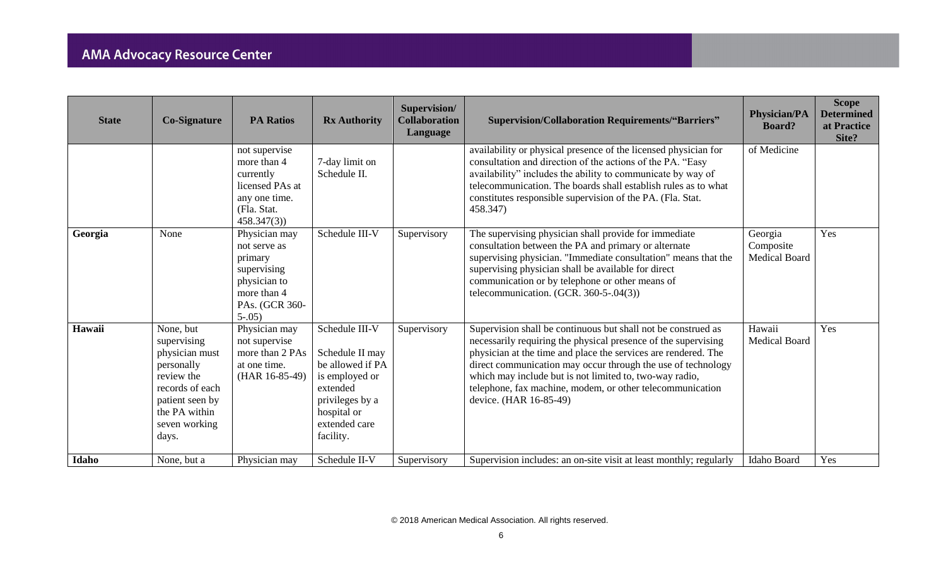| <b>State</b> | <b>Co-Signature</b>                                                                                                                                     | <b>PA Ratios</b>                                                                                                      | <b>Rx Authority</b>                                                                                                                                 | Supervision/<br><b>Collaboration</b><br>Language | <b>Supervision/Collaboration Requirements/"Barriers"</b>                                                                                                                                                                                                                                                                                                                                                            | <b>Physician/PA</b><br><b>Board?</b>         | <b>Scope</b><br><b>Determined</b><br>at Practice<br>Site? |
|--------------|---------------------------------------------------------------------------------------------------------------------------------------------------------|-----------------------------------------------------------------------------------------------------------------------|-----------------------------------------------------------------------------------------------------------------------------------------------------|--------------------------------------------------|---------------------------------------------------------------------------------------------------------------------------------------------------------------------------------------------------------------------------------------------------------------------------------------------------------------------------------------------------------------------------------------------------------------------|----------------------------------------------|-----------------------------------------------------------|
|              |                                                                                                                                                         | not supervise<br>more than 4<br>currently<br>licensed PAs at<br>any one time.<br>(Fla. Stat.<br>458.347(3)            | 7-day limit on<br>Schedule II.                                                                                                                      |                                                  | availability or physical presence of the licensed physician for<br>consultation and direction of the actions of the PA. "Easy<br>availability" includes the ability to communicate by way of<br>telecommunication. The boards shall establish rules as to what<br>constitutes responsible supervision of the PA. (Fla. Stat.)<br>458.347)                                                                           | of Medicine                                  |                                                           |
| Georgia      | None                                                                                                                                                    | Physician may<br>not serve as<br>primary<br>supervising<br>physician to<br>more than 4<br>PAs. (GCR 360-<br>$5 - .05$ | Schedule III-V                                                                                                                                      | Supervisory                                      | The supervising physician shall provide for immediate<br>consultation between the PA and primary or alternate<br>supervising physician. "Immediate consultation" means that the<br>supervising physician shall be available for direct<br>communication or by telephone or other means of<br>telecommunication. (GCR. $360-5-04(3)$ )                                                                               | Georgia<br>Composite<br><b>Medical Board</b> | Yes                                                       |
| Hawaii       | None, but<br>supervising<br>physician must<br>personally<br>review the<br>records of each<br>patient seen by<br>the PA within<br>seven working<br>days. | Physician may<br>not supervise<br>more than 2 PAs<br>at one time.<br>(HAR 16-85-49)                                   | Schedule III-V<br>Schedule II may<br>be allowed if PA<br>is employed or<br>extended<br>privileges by a<br>hospital or<br>extended care<br>facility. | Supervisory                                      | Supervision shall be continuous but shall not be construed as<br>necessarily requiring the physical presence of the supervising<br>physician at the time and place the services are rendered. The<br>direct communication may occur through the use of technology<br>which may include but is not limited to, two-way radio,<br>telephone, fax machine, modem, or other telecommunication<br>device. (HAR 16-85-49) | Hawaii<br><b>Medical Board</b>               | Yes                                                       |
| Idaho        | None, but a                                                                                                                                             | Physician may                                                                                                         | Schedule II-V                                                                                                                                       | Supervisory                                      | Supervision includes: an on-site visit at least monthly; regularly                                                                                                                                                                                                                                                                                                                                                  | Idaho Board                                  | Yes                                                       |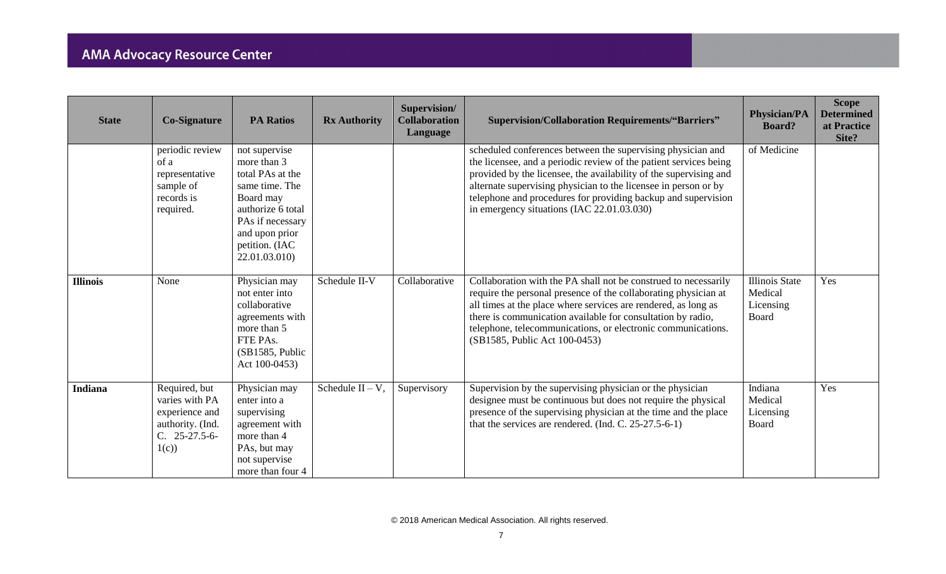| <b>State</b>    | <b>Co-Signature</b>                                                                              | <b>PA Ratios</b>                                                                                                                                                              | <b>Rx Authority</b> | Supervision/<br><b>Collaboration</b><br>Language | <b>Supervision/Collaboration Requirements/"Barriers"</b>                                                                                                                                                                                                                                                                                                                                | <b>Physician/PA</b><br><b>Board?</b>                   | <b>Scope</b><br><b>Determined</b><br>at Practice<br>Site? |
|-----------------|--------------------------------------------------------------------------------------------------|-------------------------------------------------------------------------------------------------------------------------------------------------------------------------------|---------------------|--------------------------------------------------|-----------------------------------------------------------------------------------------------------------------------------------------------------------------------------------------------------------------------------------------------------------------------------------------------------------------------------------------------------------------------------------------|--------------------------------------------------------|-----------------------------------------------------------|
|                 | periodic review<br>of a<br>representative<br>sample of<br>records is<br>required.                | not supervise<br>more than 3<br>total PAs at the<br>same time. The<br>Board may<br>authorize 6 total<br>PAs if necessary<br>and upon prior<br>petition. (IAC<br>22.01.03.010) |                     |                                                  | scheduled conferences between the supervising physician and<br>the licensee, and a periodic review of the patient services being<br>provided by the licensee, the availability of the supervising and<br>alternate supervising physician to the licensee in person or by<br>telephone and procedures for providing backup and supervision<br>in emergency situations (IAC 22.01.03.030) | of Medicine                                            |                                                           |
| <b>Illinois</b> | None                                                                                             | Physician may<br>not enter into<br>collaborative<br>agreements with<br>more than 5<br>FTE PAs.<br>(SB1585, Public)<br>Act 100-0453)                                           | Schedule II-V       | Collaborative                                    | Collaboration with the PA shall not be construed to necessarily<br>require the personal presence of the collaborating physician at<br>all times at the place where services are rendered, as long as<br>there is communication available for consultation by radio,<br>telephone, telecommunications, or electronic communications.<br>(SB1585, Public Act 100-0453)                    | <b>Illinois State</b><br>Medical<br>Licensing<br>Board | Yes                                                       |
| Indiana         | Required, but<br>varies with PA<br>experience and<br>authority. (Ind.<br>$C. 25-27.5-6-$<br>1(c) | Physician may<br>enter into a<br>supervising<br>agreement with<br>more than 4<br>PAs, but may<br>not supervise<br>more than four 4                                            | Schedule $II - V$ , | Supervisory                                      | Supervision by the supervising physician or the physician<br>designee must be continuous but does not require the physical<br>presence of the supervising physician at the time and the place<br>that the services are rendered. (Ind. C. 25-27.5-6-1)                                                                                                                                  | Indiana<br>Medical<br>Licensing<br>Board               | Yes                                                       |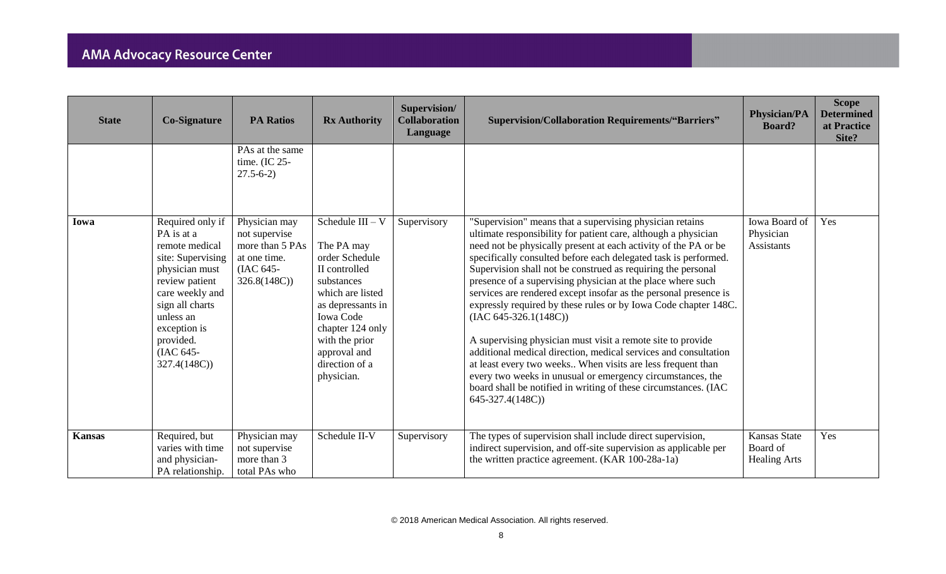| <b>State</b>  | <b>Co-Signature</b>                                                                                                                                                                                                   | <b>PA Ratios</b>                                                                              | <b>Rx Authority</b>                                                                                                                                                                                                                  | Supervision/<br><b>Collaboration</b><br>Language | <b>Supervision/Collaboration Requirements/"Barriers"</b>                                                                                                                                                                                                                                                                                                                                                                                                                                                                                                                                                                                                                                                                                                                                                                                                                                                                | <b>Physician/PA</b><br><b>Board?</b>            | <b>Scope</b><br><b>Determined</b><br>at Practice<br>Site? |
|---------------|-----------------------------------------------------------------------------------------------------------------------------------------------------------------------------------------------------------------------|-----------------------------------------------------------------------------------------------|--------------------------------------------------------------------------------------------------------------------------------------------------------------------------------------------------------------------------------------|--------------------------------------------------|-------------------------------------------------------------------------------------------------------------------------------------------------------------------------------------------------------------------------------------------------------------------------------------------------------------------------------------------------------------------------------------------------------------------------------------------------------------------------------------------------------------------------------------------------------------------------------------------------------------------------------------------------------------------------------------------------------------------------------------------------------------------------------------------------------------------------------------------------------------------------------------------------------------------------|-------------------------------------------------|-----------------------------------------------------------|
|               |                                                                                                                                                                                                                       | PAs at the same<br>time. (IC 25-<br>$27.5 - 6 - 2$                                            |                                                                                                                                                                                                                                      |                                                  |                                                                                                                                                                                                                                                                                                                                                                                                                                                                                                                                                                                                                                                                                                                                                                                                                                                                                                                         |                                                 |                                                           |
| Iowa          | Required only if<br>PA is at a<br>remote medical<br>site: Supervising<br>physician must<br>review patient<br>care weekly and<br>sign all charts<br>unless an<br>exception is<br>provided.<br>(IAC 645-<br>327.4(148C) | Physician may<br>not supervise<br>more than 5 PAs<br>at one time.<br>(IAC 645-<br>326.8(148C) | Schedule $III - V$<br>The PA may<br>order Schedule<br>II controlled<br>substances<br>which are listed<br>as depressants in<br><b>Iowa Code</b><br>chapter 124 only<br>with the prior<br>approval and<br>direction of a<br>physician. | Supervisory                                      | "Supervision" means that a supervising physician retains<br>ultimate responsibility for patient care, although a physician<br>need not be physically present at each activity of the PA or be<br>specifically consulted before each delegated task is performed.<br>Supervision shall not be construed as requiring the personal<br>presence of a supervising physician at the place where such<br>services are rendered except insofar as the personal presence is<br>expressly required by these rules or by Iowa Code chapter 148C.<br>$(IAC 645-326.1(148C))$<br>A supervising physician must visit a remote site to provide<br>additional medical direction, medical services and consultation<br>at least every two weeks When visits are less frequent than<br>every two weeks in unusual or emergency circumstances, the<br>board shall be notified in writing of these circumstances. (IAC<br>645-327.4(148C)) | Iowa Board of<br>Physician<br>Assistants        | Yes                                                       |
| <b>Kansas</b> | Required, but<br>varies with time<br>and physician-<br>PA relationship.                                                                                                                                               | Physician may<br>not supervise<br>more than 3<br>total PAs who                                | Schedule II-V                                                                                                                                                                                                                        | Supervisory                                      | The types of supervision shall include direct supervision,<br>indirect supervision, and off-site supervision as applicable per<br>the written practice agreement. (KAR 100-28a-1a)                                                                                                                                                                                                                                                                                                                                                                                                                                                                                                                                                                                                                                                                                                                                      | Kansas State<br>Board of<br><b>Healing Arts</b> | Yes                                                       |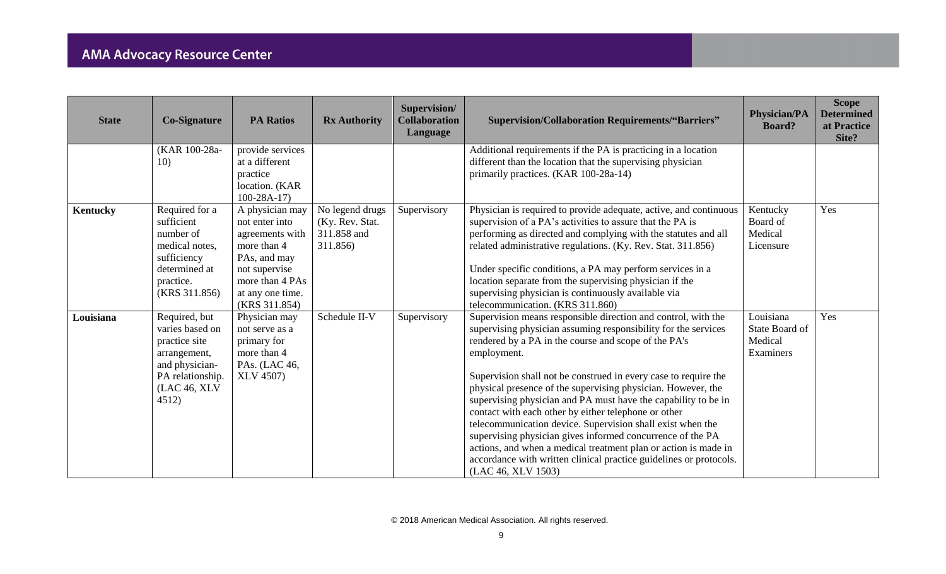| <b>State</b>    | <b>Co-Signature</b>                                                                                                              | <b>PA Ratios</b>                                                                                                                                             | <b>Rx Authority</b>                                           | Supervision/<br><b>Collaboration</b><br>Language | <b>Supervision/Collaboration Requirements/"Barriers"</b>                                                                                                                                                                                                                                                                                                                                                                                                                                                                                                                                                                                                                                                                                                       | <b>Physician/PA</b><br><b>Board?</b>                | <b>Scope</b><br><b>Determined</b><br>at Practice<br>Site? |
|-----------------|----------------------------------------------------------------------------------------------------------------------------------|--------------------------------------------------------------------------------------------------------------------------------------------------------------|---------------------------------------------------------------|--------------------------------------------------|----------------------------------------------------------------------------------------------------------------------------------------------------------------------------------------------------------------------------------------------------------------------------------------------------------------------------------------------------------------------------------------------------------------------------------------------------------------------------------------------------------------------------------------------------------------------------------------------------------------------------------------------------------------------------------------------------------------------------------------------------------------|-----------------------------------------------------|-----------------------------------------------------------|
|                 | (KAR 100-28a-<br>10)                                                                                                             | provide services<br>at a different<br>practice<br>location. (KAR<br>$100-28A-17$                                                                             |                                                               |                                                  | Additional requirements if the PA is practicing in a location<br>different than the location that the supervising physician<br>primarily practices. (KAR 100-28a-14)                                                                                                                                                                                                                                                                                                                                                                                                                                                                                                                                                                                           |                                                     |                                                           |
| <b>Kentucky</b> | Required for a<br>sufficient<br>number of<br>medical notes,<br>sufficiency<br>determined at<br>practice.<br>(KRS 311.856)        | A physician may<br>not enter into<br>agreements with<br>more than 4<br>PAs, and may<br>not supervise<br>more than 4 PAs<br>at any one time.<br>(KRS 311.854) | No legend drugs<br>(Ky. Rev. Stat.<br>311.858 and<br>311.856) | Supervisory                                      | Physician is required to provide adequate, active, and continuous<br>supervision of a PA's activities to assure that the PA is<br>performing as directed and complying with the statutes and all<br>related administrative regulations. (Ky. Rev. Stat. 311.856)<br>Under specific conditions, a PA may perform services in a<br>location separate from the supervising physician if the<br>supervising physician is continuously available via<br>telecommunication. (KRS 311.860)                                                                                                                                                                                                                                                                            | Kentucky<br>Board of<br>Medical<br>Licensure        | Yes                                                       |
| Louisiana       | Required, but<br>varies based on<br>practice site<br>arrangement,<br>and physician-<br>PA relationship.<br>(LAC 46, XLV<br>4512) | Physician may<br>not serve as a<br>primary for<br>more than 4<br>PAs. (LAC 46,<br><b>XLV 4507)</b>                                                           | Schedule II-V                                                 | Supervisory                                      | Supervision means responsible direction and control, with the<br>supervising physician assuming responsibility for the services<br>rendered by a PA in the course and scope of the PA's<br>employment.<br>Supervision shall not be construed in every case to require the<br>physical presence of the supervising physician. However, the<br>supervising physician and PA must have the capability to be in<br>contact with each other by either telephone or other<br>telecommunication device. Supervision shall exist when the<br>supervising physician gives informed concurrence of the PA<br>actions, and when a medical treatment plan or action is made in<br>accordance with written clinical practice guidelines or protocols.<br>(LAC 46, XLV 1503) | Louisiana<br>State Board of<br>Medical<br>Examiners | Yes                                                       |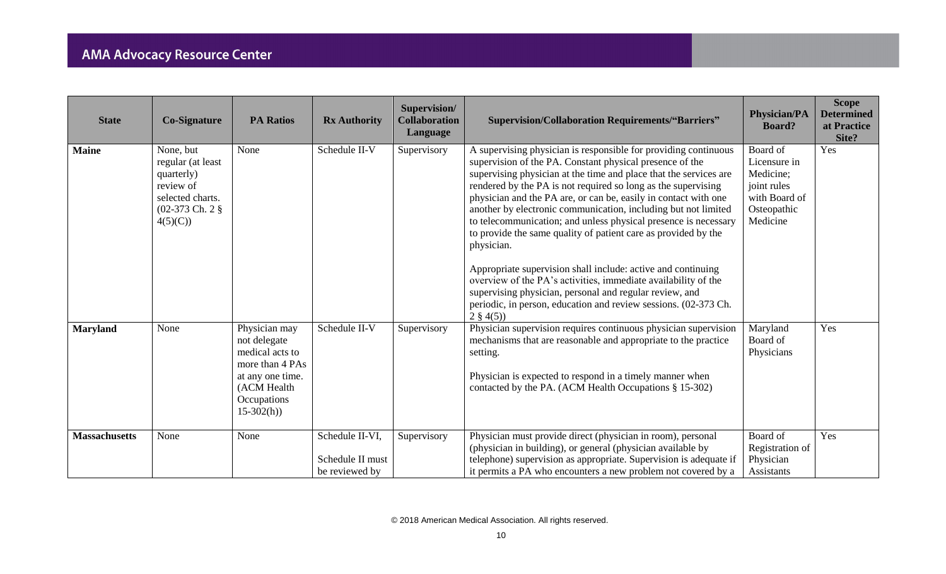| <b>State</b>         | <b>Co-Signature</b>                                                                                                                     | <b>PA Ratios</b>                                                                                                                     | <b>Rx Authority</b>                                   | Supervision/<br><b>Collaboration</b><br>Language | <b>Supervision/Collaboration Requirements/"Barriers"</b>                                                                                                                                                                                                                                                                                                                                                                                                                                                                                                                                                                                                                                                                                                                                                                                  | <b>Physician/PA</b><br><b>Board?</b>                                                             | <b>Scope</b><br><b>Determined</b><br>at Practice<br>Site? |
|----------------------|-----------------------------------------------------------------------------------------------------------------------------------------|--------------------------------------------------------------------------------------------------------------------------------------|-------------------------------------------------------|--------------------------------------------------|-------------------------------------------------------------------------------------------------------------------------------------------------------------------------------------------------------------------------------------------------------------------------------------------------------------------------------------------------------------------------------------------------------------------------------------------------------------------------------------------------------------------------------------------------------------------------------------------------------------------------------------------------------------------------------------------------------------------------------------------------------------------------------------------------------------------------------------------|--------------------------------------------------------------------------------------------------|-----------------------------------------------------------|
| <b>Maine</b>         | None, but<br>regular (at least<br>quarterly)<br>review of<br>selected charts.<br>$(02-373 \text{ Ch. } 2 \text{ } \text{\&}$<br>4(5)(C) | None                                                                                                                                 | Schedule II-V                                         | Supervisory                                      | A supervising physician is responsible for providing continuous<br>supervision of the PA. Constant physical presence of the<br>supervising physician at the time and place that the services are<br>rendered by the PA is not required so long as the supervising<br>physician and the PA are, or can be, easily in contact with one<br>another by electronic communication, including but not limited<br>to telecommunication; and unless physical presence is necessary<br>to provide the same quality of patient care as provided by the<br>physician.<br>Appropriate supervision shall include: active and continuing<br>overview of the PA's activities, immediate availability of the<br>supervising physician, personal and regular review, and<br>periodic, in person, education and review sessions. (02-373 Ch.<br>$2 \tS 4(5)$ | Board of<br>Licensure in<br>Medicine;<br>joint rules<br>with Board of<br>Osteopathic<br>Medicine | Yes                                                       |
| <b>Maryland</b>      | None                                                                                                                                    | Physician may<br>not delegate<br>medical acts to<br>more than 4 PAs<br>at any one time.<br>(ACM Health<br>Occupations<br>$15-302(h)$ | Schedule II-V                                         | Supervisory                                      | Physician supervision requires continuous physician supervision<br>mechanisms that are reasonable and appropriate to the practice<br>setting.<br>Physician is expected to respond in a timely manner when<br>contacted by the PA. (ACM Health Occupations § 15-302)                                                                                                                                                                                                                                                                                                                                                                                                                                                                                                                                                                       | Maryland<br>Board of<br>Physicians                                                               | Yes                                                       |
| <b>Massachusetts</b> | None                                                                                                                                    | None                                                                                                                                 | Schedule II-VI,<br>Schedule II must<br>be reviewed by | Supervisory                                      | Physician must provide direct (physician in room), personal<br>(physician in building), or general (physician available by<br>telephone) supervision as appropriate. Supervision is adequate if<br>it permits a PA who encounters a new problem not covered by a                                                                                                                                                                                                                                                                                                                                                                                                                                                                                                                                                                          | Board of<br>Registration of<br>Physician<br>Assistants                                           | Yes                                                       |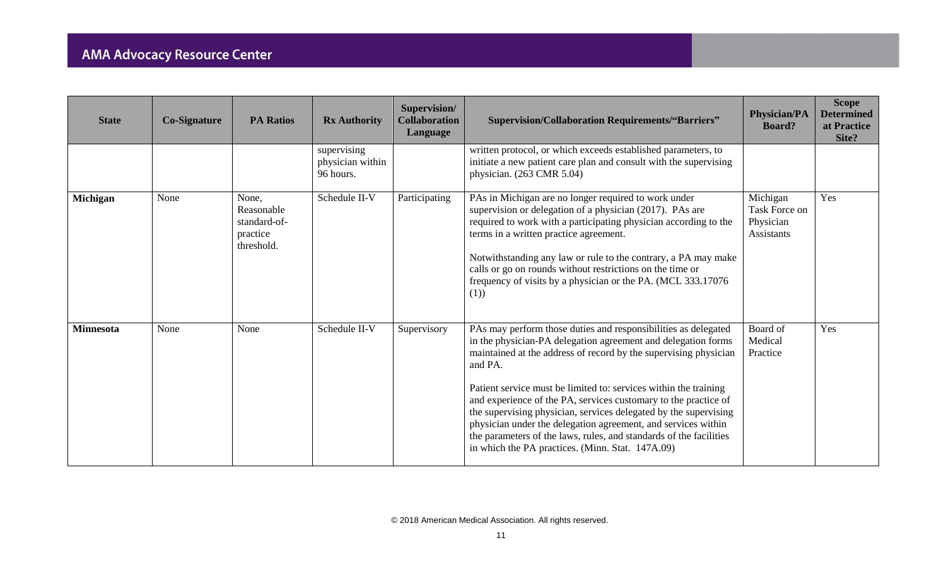| <b>State</b>     | <b>Co-Signature</b> | <b>PA Ratios</b>                                              | <b>Rx Authority</b>                          | Supervision/<br><b>Collaboration</b><br>Language | <b>Supervision/Collaboration Requirements/"Barriers"</b>                                                                                                                                                                                                                                                                                                                                                                                                                                                                                                                                                             | <b>Physician/PA</b><br><b>Board?</b>                 | <b>Scope</b><br><b>Determined</b><br>at Practice<br>Site? |
|------------------|---------------------|---------------------------------------------------------------|----------------------------------------------|--------------------------------------------------|----------------------------------------------------------------------------------------------------------------------------------------------------------------------------------------------------------------------------------------------------------------------------------------------------------------------------------------------------------------------------------------------------------------------------------------------------------------------------------------------------------------------------------------------------------------------------------------------------------------------|------------------------------------------------------|-----------------------------------------------------------|
|                  |                     |                                                               | supervising<br>physician within<br>96 hours. |                                                  | written protocol, or which exceeds established parameters, to<br>initiate a new patient care plan and consult with the supervising<br>physician. (263 CMR 5.04)                                                                                                                                                                                                                                                                                                                                                                                                                                                      |                                                      |                                                           |
| Michigan         | None                | None,<br>Reasonable<br>standard-of-<br>practice<br>threshold. | Schedule II-V                                | Participating                                    | PAs in Michigan are no longer required to work under<br>supervision or delegation of a physician (2017). PAs are<br>required to work with a participating physician according to the<br>terms in a written practice agreement.<br>Notwithstanding any law or rule to the contrary, a PA may make<br>calls or go on rounds without restrictions on the time or<br>frequency of visits by a physician or the PA. (MCL 333.17076<br>(1)                                                                                                                                                                                 | Michigan<br>Task Force on<br>Physician<br>Assistants | Yes                                                       |
| <b>Minnesota</b> | None                | None                                                          | Schedule II-V                                | Supervisory                                      | PAs may perform those duties and responsibilities as delegated<br>in the physician-PA delegation agreement and delegation forms<br>maintained at the address of record by the supervising physician<br>and PA.<br>Patient service must be limited to: services within the training<br>and experience of the PA, services customary to the practice of<br>the supervising physician, services delegated by the supervising<br>physician under the delegation agreement, and services within<br>the parameters of the laws, rules, and standards of the facilities<br>in which the PA practices. (Minn. Stat. 147A.09) | Board of<br>Medical<br>Practice                      | Yes                                                       |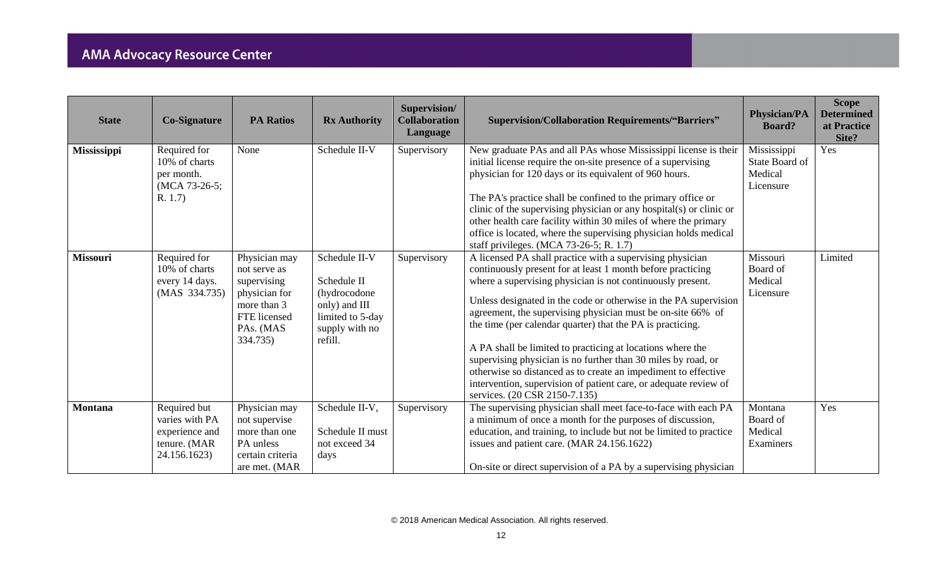| <b>State</b>       | <b>Co-Signature</b>                                                              | <b>PA Ratios</b>                                                                                                      | <b>Rx Authority</b>                                                                                             | Supervision/<br><b>Collaboration</b><br>Language | <b>Supervision/Collaboration Requirements/"Barriers"</b>                                                                                                                                                                                                                                                                                                                                                                                                                                                                                                                                                                                                                                      | <b>Physician/PA</b><br><b>Board?</b>                  | <b>Scope</b><br><b>Determined</b><br>at Practice<br>Site? |
|--------------------|----------------------------------------------------------------------------------|-----------------------------------------------------------------------------------------------------------------------|-----------------------------------------------------------------------------------------------------------------|--------------------------------------------------|-----------------------------------------------------------------------------------------------------------------------------------------------------------------------------------------------------------------------------------------------------------------------------------------------------------------------------------------------------------------------------------------------------------------------------------------------------------------------------------------------------------------------------------------------------------------------------------------------------------------------------------------------------------------------------------------------|-------------------------------------------------------|-----------------------------------------------------------|
| <b>Mississippi</b> | Required for<br>10% of charts<br>per month.<br>(MCA 73-26-5;<br>R. 1.7           | None                                                                                                                  | Schedule II-V                                                                                                   | Supervisory                                      | New graduate PAs and all PAs whose Mississippi license is their<br>initial license require the on-site presence of a supervising<br>physician for 120 days or its equivalent of 960 hours.<br>The PA's practice shall be confined to the primary office or<br>clinic of the supervising physician or any hospital(s) or clinic or<br>other health care facility within 30 miles of where the primary<br>office is located, where the supervising physician holds medical<br>staff privileges. (MCA 73-26-5; R. 1.7)                                                                                                                                                                           | Mississippi<br>State Board of<br>Medical<br>Licensure | Yes                                                       |
| <b>Missouri</b>    | Required for<br>10% of charts<br>every 14 days.<br>(MAS 334.735)                 | Physician may<br>not serve as<br>supervising<br>physician for<br>more than 3<br>FTE licensed<br>PAs. (MAS<br>334.735) | Schedule II-V<br>Schedule II<br>(hydrocodone)<br>only) and III<br>limited to 5-day<br>supply with no<br>refill. | Supervisory                                      | A licensed PA shall practice with a supervising physician<br>continuously present for at least 1 month before practicing<br>where a supervising physician is not continuously present.<br>Unless designated in the code or otherwise in the PA supervision<br>agreement, the supervising physician must be on-site 66% of<br>the time (per calendar quarter) that the PA is practicing.<br>A PA shall be limited to practicing at locations where the<br>supervising physician is no further than 30 miles by road, or<br>otherwise so distanced as to create an impediment to effective<br>intervention, supervision of patient care, or adequate review of<br>services. (20 CSR 2150-7.135) | Missouri<br>Board of<br>Medical<br>Licensure          | Limited                                                   |
| <b>Montana</b>     | Required but<br>varies with PA<br>experience and<br>tenure. (MAR<br>24.156.1623) | Physician may<br>not supervise<br>more than one<br>PA unless<br>certain criteria<br>are met. (MAR                     | Schedule II-V,<br>Schedule II must<br>not exceed 34<br>days                                                     | Supervisory                                      | The supervising physician shall meet face-to-face with each PA<br>a minimum of once a month for the purposes of discussion,<br>education, and training, to include but not be limited to practice<br>issues and patient care. (MAR 24.156.1622)<br>On-site or direct supervision of a PA by a supervising physician                                                                                                                                                                                                                                                                                                                                                                           | Montana<br>Board of<br>Medical<br>Examiners           | Yes                                                       |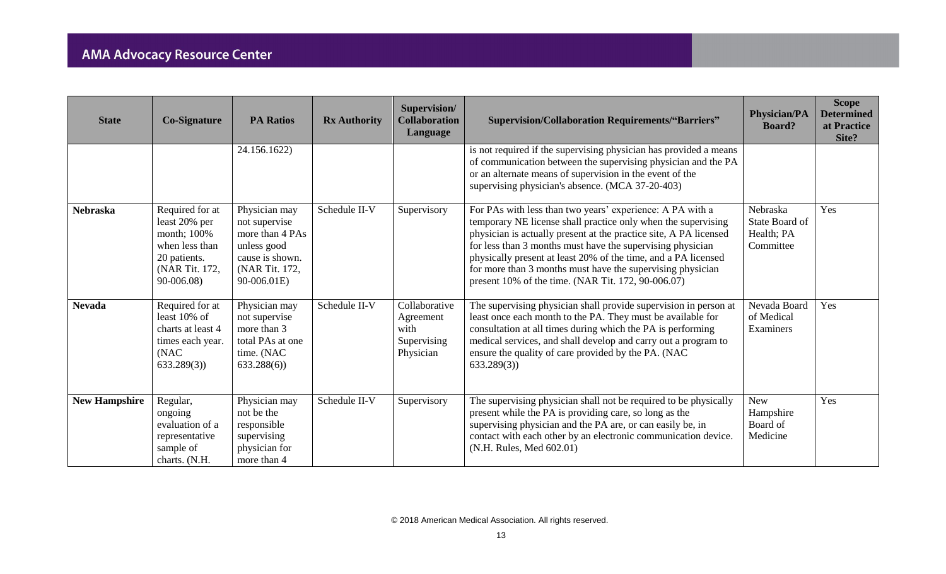| <b>State</b>         | <b>Co-Signature</b>                                                                                               | <b>PA Ratios</b>                                                                                                     | <b>Rx Authority</b> | Supervision/<br><b>Collaboration</b><br>Language               | <b>Supervision/Collaboration Requirements/"Barriers"</b>                                                                                                                                                                                                                                                                                                                                                                                            | <b>Physician/PA</b><br><b>Board?</b>                  | <b>Scope</b><br><b>Determined</b><br>at Practice<br>Site? |
|----------------------|-------------------------------------------------------------------------------------------------------------------|----------------------------------------------------------------------------------------------------------------------|---------------------|----------------------------------------------------------------|-----------------------------------------------------------------------------------------------------------------------------------------------------------------------------------------------------------------------------------------------------------------------------------------------------------------------------------------------------------------------------------------------------------------------------------------------------|-------------------------------------------------------|-----------------------------------------------------------|
|                      |                                                                                                                   | 24.156.1622)                                                                                                         |                     |                                                                | is not required if the supervising physician has provided a means<br>of communication between the supervising physician and the PA<br>or an alternate means of supervision in the event of the<br>supervising physician's absence. (MCA 37-20-403)                                                                                                                                                                                                  |                                                       |                                                           |
| <b>Nebraska</b>      | Required for at<br>least 20% per<br>month; 100%<br>when less than<br>20 patients.<br>(NAR Tit. 172,<br>90-006.08) | Physician may<br>not supervise<br>more than 4 PAs<br>unless good<br>cause is shown.<br>(NAR Tit. 172,<br>90-006.01E) | Schedule II-V       | Supervisory                                                    | For PAs with less than two years' experience: A PA with a<br>temporary NE license shall practice only when the supervising<br>physician is actually present at the practice site, A PA licensed<br>for less than 3 months must have the supervising physician<br>physically present at least 20% of the time, and a PA licensed<br>for more than 3 months must have the supervising physician<br>present 10% of the time. (NAR Tit. 172, 90-006.07) | Nebraska<br>State Board of<br>Health; PA<br>Committee | Yes                                                       |
| <b>Nevada</b>        | Required for at<br>least 10% of<br>charts at least 4<br>times each year.<br>(NAC)<br>633.289(3)                   | Physician may<br>not supervise<br>more than 3<br>total PAs at one<br>time. (NAC<br>633.288(6)                        | Schedule II-V       | Collaborative<br>Agreement<br>with<br>Supervising<br>Physician | The supervising physician shall provide supervision in person at<br>least once each month to the PA. They must be available for<br>consultation at all times during which the PA is performing<br>medical services, and shall develop and carry out a program to<br>ensure the quality of care provided by the PA. (NAC)<br>633.289(3)                                                                                                              | Nevada Board<br>of Medical<br>Examiners               | Yes                                                       |
| <b>New Hampshire</b> | Regular,<br>ongoing<br>evaluation of a<br>representative<br>sample of<br>charts. (N.H.                            | Physician may<br>not be the<br>responsible<br>supervising<br>physician for<br>more than 4                            | Schedule II-V       | Supervisory                                                    | The supervising physician shall not be required to be physically<br>present while the PA is providing care, so long as the<br>supervising physician and the PA are, or can easily be, in<br>contact with each other by an electronic communication device.<br>(N.H. Rules, Med 602.01)                                                                                                                                                              | <b>New</b><br>Hampshire<br>Board of<br>Medicine       | Yes                                                       |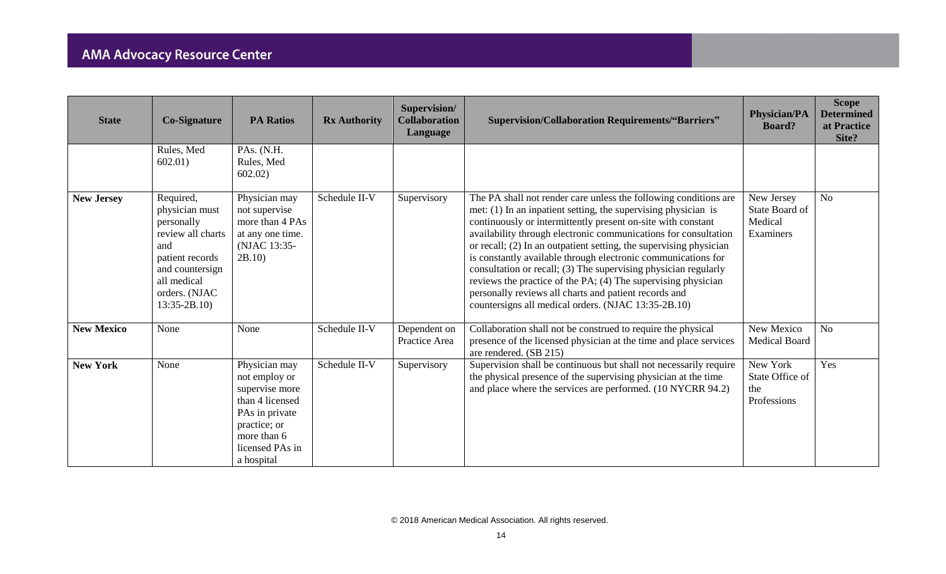| <b>State</b>      | <b>Co-Signature</b>                                                                                                                                          | <b>PA Ratios</b>                                                                                                                                      | <b>Rx Authority</b> | Supervision/<br><b>Collaboration</b><br>Language | <b>Supervision/Collaboration Requirements/"Barriers"</b>                                                                                                                                                                                                                                                                                                                                                                                                                                                                                                                                                                                                           | <b>Physician/PA</b><br><b>Board?</b>                 | <b>Scope</b><br><b>Determined</b><br>at Practice<br>Site? |
|-------------------|--------------------------------------------------------------------------------------------------------------------------------------------------------------|-------------------------------------------------------------------------------------------------------------------------------------------------------|---------------------|--------------------------------------------------|--------------------------------------------------------------------------------------------------------------------------------------------------------------------------------------------------------------------------------------------------------------------------------------------------------------------------------------------------------------------------------------------------------------------------------------------------------------------------------------------------------------------------------------------------------------------------------------------------------------------------------------------------------------------|------------------------------------------------------|-----------------------------------------------------------|
|                   | Rules, Med<br>602.01)                                                                                                                                        | PAs. (N.H.<br>Rules, Med<br>602.02)                                                                                                                   |                     |                                                  |                                                                                                                                                                                                                                                                                                                                                                                                                                                                                                                                                                                                                                                                    |                                                      |                                                           |
| <b>New Jersey</b> | Required,<br>physician must<br>personally<br>review all charts<br>and<br>patient records<br>and countersign<br>all medical<br>orders. (NJAC<br>$13:35-2B.10$ | Physician may<br>not supervise<br>more than 4 PAs<br>at any one time.<br>(NJAC 13:35-<br>2B.10                                                        | Schedule II-V       | Supervisory                                      | The PA shall not render care unless the following conditions are<br>met: $(1)$ In an inpatient setting, the supervising physician is<br>continuously or intermittently present on-site with constant<br>availability through electronic communications for consultation<br>or recall; (2) In an outpatient setting, the supervising physician<br>is constantly available through electronic communications for<br>consultation or recall; (3) The supervising physician regularly<br>reviews the practice of the PA; (4) The supervising physician<br>personally reviews all charts and patient records and<br>countersigns all medical orders. (NJAC 13:35-2B.10) | New Jersey<br>State Board of<br>Medical<br>Examiners | N <sub>o</sub>                                            |
| <b>New Mexico</b> | None                                                                                                                                                         | None                                                                                                                                                  | Schedule II-V       | Dependent on<br>Practice Area                    | Collaboration shall not be construed to require the physical<br>presence of the licensed physician at the time and place services<br>are rendered. (SB 215)                                                                                                                                                                                                                                                                                                                                                                                                                                                                                                        | New Mexico<br>Medical Board                          | N <sub>o</sub>                                            |
| <b>New York</b>   | None                                                                                                                                                         | Physician may<br>not employ or<br>supervise more<br>than 4 licensed<br>PAs in private<br>practice; or<br>more than 6<br>licensed PAs in<br>a hospital | Schedule II-V       | Supervisory                                      | Supervision shall be continuous but shall not necessarily require<br>the physical presence of the supervising physician at the time<br>and place where the services are performed. (10 NYCRR 94.2)                                                                                                                                                                                                                                                                                                                                                                                                                                                                 | New York<br>State Office of<br>the<br>Professions    | Yes                                                       |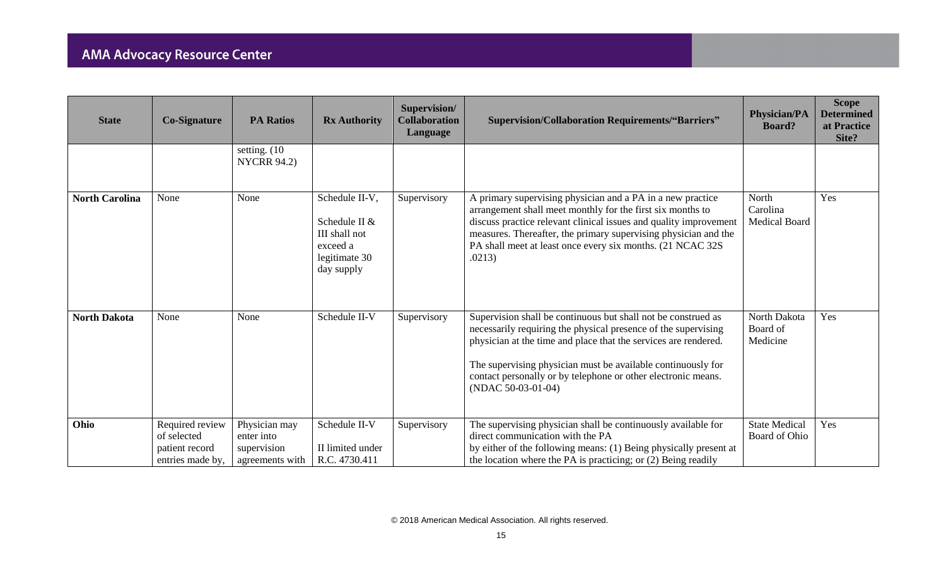| <b>State</b>          | <b>Co-Signature</b>                                                  | <b>PA Ratios</b>                                              | <b>Rx Authority</b>                                                                         | Supervision/<br><b>Collaboration</b><br>Language | <b>Supervision/Collaboration Requirements/"Barriers"</b>                                                                                                                                                                                                                                                                                                  | <b>Physician/PA</b><br><b>Board?</b>      | <b>Scope</b><br><b>Determined</b><br>at Practice<br>Site? |
|-----------------------|----------------------------------------------------------------------|---------------------------------------------------------------|---------------------------------------------------------------------------------------------|--------------------------------------------------|-----------------------------------------------------------------------------------------------------------------------------------------------------------------------------------------------------------------------------------------------------------------------------------------------------------------------------------------------------------|-------------------------------------------|-----------------------------------------------------------|
|                       |                                                                      | setting. (10)<br><b>NYCRR 94.2)</b>                           |                                                                                             |                                                  |                                                                                                                                                                                                                                                                                                                                                           |                                           |                                                           |
| <b>North Carolina</b> | None                                                                 | None                                                          | Schedule II-V,<br>Schedule II &<br>III shall not<br>exceed a<br>legitimate 30<br>day supply | Supervisory                                      | A primary supervising physician and a PA in a new practice<br>arrangement shall meet monthly for the first six months to<br>discuss practice relevant clinical issues and quality improvement<br>measures. Thereafter, the primary supervising physician and the<br>PA shall meet at least once every six months. (21 NCAC 32S)<br>.0213)                 | North<br>Carolina<br><b>Medical Board</b> | Yes                                                       |
| <b>North Dakota</b>   | None                                                                 | None                                                          | Schedule II-V                                                                               | Supervisory                                      | Supervision shall be continuous but shall not be construed as<br>necessarily requiring the physical presence of the supervising<br>physician at the time and place that the services are rendered.<br>The supervising physician must be available continuously for<br>contact personally or by telephone or other electronic means.<br>(NDAC 50-03-01-04) | North Dakota<br>Board of<br>Medicine      | Yes                                                       |
| Ohio                  | Required review<br>of selected<br>patient record<br>entries made by, | Physician may<br>enter into<br>supervision<br>agreements with | Schedule II-V<br>II limited under<br>R.C. 4730.411                                          | Supervisory                                      | The supervising physician shall be continuously available for<br>direct communication with the PA<br>by either of the following means: (1) Being physically present at<br>the location where the PA is practicing; or (2) Being readily                                                                                                                   | <b>State Medical</b><br>Board of Ohio     | Yes                                                       |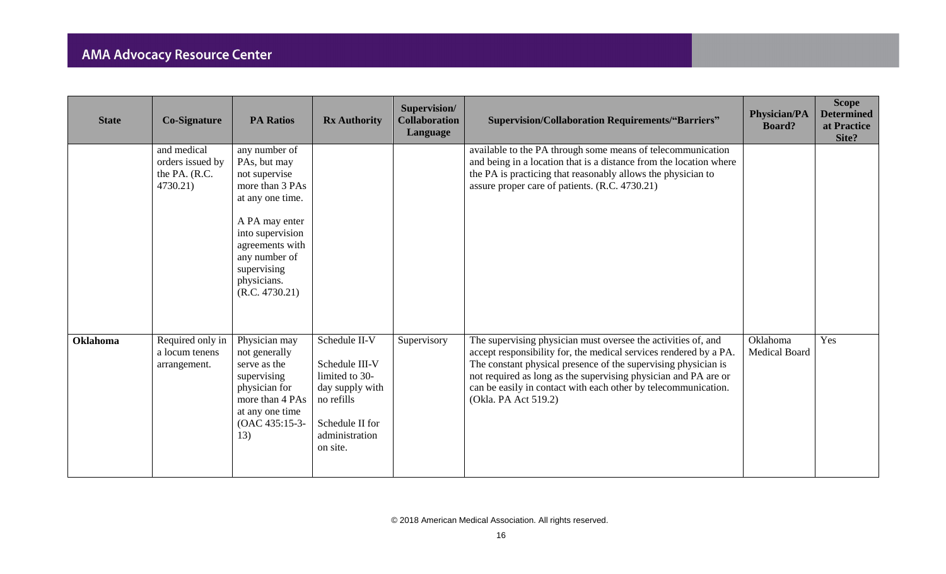| <b>State</b>    | <b>Co-Signature</b>                                          | <b>PA Ratios</b>                                                                                                                                                                                                | <b>Rx Authority</b>                                                                                                                 | Supervision/<br><b>Collaboration</b><br>Language | <b>Supervision/Collaboration Requirements/"Barriers"</b>                                                                                                                                                                                                                                                                                                          | <b>Physician/PA</b><br><b>Board?</b> | <b>Scope</b><br><b>Determined</b><br>at Practice<br>Site? |
|-----------------|--------------------------------------------------------------|-----------------------------------------------------------------------------------------------------------------------------------------------------------------------------------------------------------------|-------------------------------------------------------------------------------------------------------------------------------------|--------------------------------------------------|-------------------------------------------------------------------------------------------------------------------------------------------------------------------------------------------------------------------------------------------------------------------------------------------------------------------------------------------------------------------|--------------------------------------|-----------------------------------------------------------|
|                 | and medical<br>orders issued by<br>the PA. (R.C.<br>4730.21) | any number of<br>PAs, but may<br>not supervise<br>more than 3 PAs<br>at any one time.<br>A PA may enter<br>into supervision<br>agreements with<br>any number of<br>supervising<br>physicians.<br>(R.C. 4730.21) |                                                                                                                                     |                                                  | available to the PA through some means of telecommunication<br>and being in a location that is a distance from the location where<br>the PA is practicing that reasonably allows the physician to<br>assure proper care of patients. (R.C. 4730.21)                                                                                                               |                                      |                                                           |
| <b>Oklahoma</b> | Required only in<br>a locum tenens<br>arrangement.           | Physician may<br>not generally<br>serve as the<br>supervising<br>physician for<br>more than 4 PAs<br>at any one time<br>(OAC 435:15-3-<br>13)                                                                   | Schedule II-V<br>Schedule III-V<br>limited to 30-<br>day supply with<br>no refills<br>Schedule II for<br>administration<br>on site. | Supervisory                                      | The supervising physician must oversee the activities of, and<br>accept responsibility for, the medical services rendered by a PA.<br>The constant physical presence of the supervising physician is<br>not required as long as the supervising physician and PA are or<br>can be easily in contact with each other by telecommunication.<br>(Okla. PA Act 519.2) | Oklahoma<br><b>Medical Board</b>     | Yes                                                       |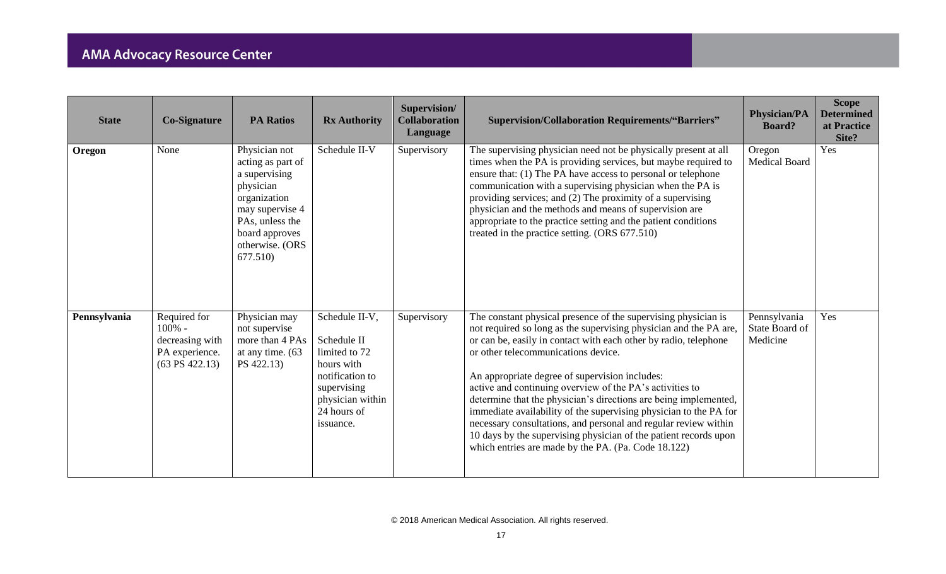| <b>State</b> | <b>Co-Signature</b>                                                             | <b>PA Ratios</b>                                                                                                                                                        | <b>Rx Authority</b>                                                                                                                            | Supervision/<br><b>Collaboration</b><br>Language | <b>Supervision/Collaboration Requirements/"Barriers"</b>                                                                                                                                                                                                                                                                                                                                                                                                                                                                                                                                                                                                                                            | <b>Physician/PA</b><br><b>Board?</b>       | <b>Scope</b><br><b>Determined</b><br>at Practice<br>Site? |
|--------------|---------------------------------------------------------------------------------|-------------------------------------------------------------------------------------------------------------------------------------------------------------------------|------------------------------------------------------------------------------------------------------------------------------------------------|--------------------------------------------------|-----------------------------------------------------------------------------------------------------------------------------------------------------------------------------------------------------------------------------------------------------------------------------------------------------------------------------------------------------------------------------------------------------------------------------------------------------------------------------------------------------------------------------------------------------------------------------------------------------------------------------------------------------------------------------------------------------|--------------------------------------------|-----------------------------------------------------------|
| Oregon       | None                                                                            | Physician not<br>acting as part of<br>a supervising<br>physician<br>organization<br>may supervise 4<br>PAs, unless the<br>board approves<br>otherwise. (ORS<br>677.510) | Schedule II-V                                                                                                                                  | Supervisory                                      | The supervising physician need not be physically present at all<br>times when the PA is providing services, but maybe required to<br>ensure that: (1) The PA have access to personal or telephone<br>communication with a supervising physician when the PA is<br>providing services; and (2) The proximity of a supervising<br>physician and the methods and means of supervision are<br>appropriate to the practice setting and the patient conditions<br>treated in the practice setting. (ORS 677.510)                                                                                                                                                                                          | Oregon<br><b>Medical Board</b>             | Yes                                                       |
| Pennsylvania | Required for<br>$100% -$<br>decreasing with<br>PA experience.<br>(63 PS 422.13) | Physician may<br>not supervise<br>more than 4 PAs<br>at any time. (63)<br>PS 422.13)                                                                                    | Schedule II-V,<br>Schedule II<br>limited to 72<br>hours with<br>notification to<br>supervising<br>physician within<br>24 hours of<br>issuance. | Supervisory                                      | The constant physical presence of the supervising physician is<br>not required so long as the supervising physician and the PA are,<br>or can be, easily in contact with each other by radio, telephone<br>or other telecommunications device.<br>An appropriate degree of supervision includes:<br>active and continuing overview of the PA's activities to<br>determine that the physician's directions are being implemented,<br>immediate availability of the supervising physician to the PA for<br>necessary consultations, and personal and regular review within<br>10 days by the supervising physician of the patient records upon<br>which entries are made by the PA. (Pa. Code 18.122) | Pennsylvania<br>State Board of<br>Medicine | Yes                                                       |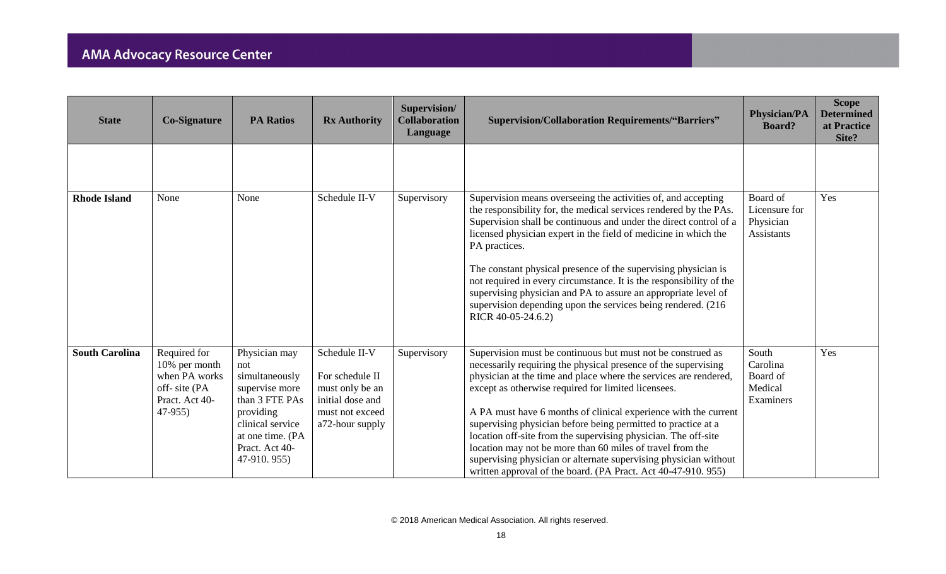| <b>State</b>          | <b>Co-Signature</b>                                                                          | <b>PA Ratios</b>                                                                                                                                                 | <b>Rx Authority</b>                                                                                           | Supervision/<br><b>Collaboration</b><br>Language | <b>Supervision/Collaboration Requirements/"Barriers"</b>                                                                                                                                                                                                                                                                                                                                                                                                                                                                                                                                                                                                         | <b>Physician/PA</b><br><b>Board?</b>                        | <b>Scope</b><br><b>Determined</b><br>at Practice<br>Site? |
|-----------------------|----------------------------------------------------------------------------------------------|------------------------------------------------------------------------------------------------------------------------------------------------------------------|---------------------------------------------------------------------------------------------------------------|--------------------------------------------------|------------------------------------------------------------------------------------------------------------------------------------------------------------------------------------------------------------------------------------------------------------------------------------------------------------------------------------------------------------------------------------------------------------------------------------------------------------------------------------------------------------------------------------------------------------------------------------------------------------------------------------------------------------------|-------------------------------------------------------------|-----------------------------------------------------------|
|                       |                                                                                              |                                                                                                                                                                  |                                                                                                               |                                                  |                                                                                                                                                                                                                                                                                                                                                                                                                                                                                                                                                                                                                                                                  |                                                             |                                                           |
| <b>Rhode Island</b>   | None                                                                                         | None                                                                                                                                                             | Schedule II-V                                                                                                 | Supervisory                                      | Supervision means overseeing the activities of, and accepting<br>the responsibility for, the medical services rendered by the PAs.<br>Supervision shall be continuous and under the direct control of a<br>licensed physician expert in the field of medicine in which the<br>PA practices.<br>The constant physical presence of the supervising physician is<br>not required in every circumstance. It is the responsibility of the<br>supervising physician and PA to assure an appropriate level of<br>supervision depending upon the services being rendered. (216)<br>RICR 40-05-24.6.2)                                                                    | Board of<br>Licensure for<br>Physician<br><b>Assistants</b> | Yes                                                       |
| <b>South Carolina</b> | Required for<br>10% per month<br>when PA works<br>off-site (PA<br>Pract. Act 40-<br>$47-955$ | Physician may<br>not<br>simultaneously<br>supervise more<br>than 3 FTE PAs<br>providing<br>clinical service<br>at one time. (PA<br>Pract. Act 40-<br>47-910.955) | Schedule II-V<br>For schedule II<br>must only be an<br>initial dose and<br>must not exceed<br>a72-hour supply | Supervisory                                      | Supervision must be continuous but must not be construed as<br>necessarily requiring the physical presence of the supervising<br>physician at the time and place where the services are rendered,<br>except as otherwise required for limited licensees.<br>A PA must have 6 months of clinical experience with the current<br>supervising physician before being permitted to practice at a<br>location off-site from the supervising physician. The off-site<br>location may not be more than 60 miles of travel from the<br>supervising physician or alternate supervising physician without<br>written approval of the board. (PA Pract. Act 40-47-910. 955) | South<br>Carolina<br>Board of<br>Medical<br>Examiners       | Yes                                                       |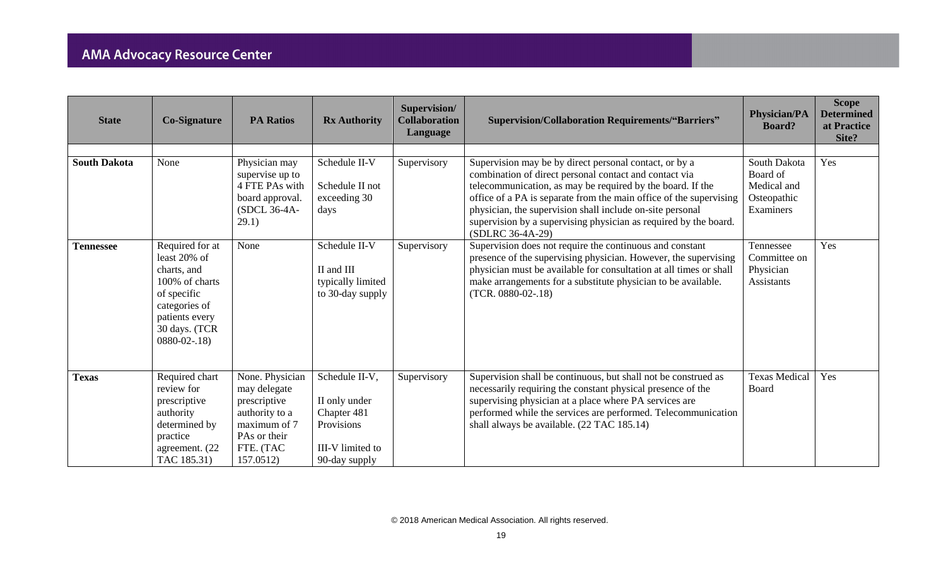| <b>State</b>        | <b>Co-Signature</b>                                                                                                                                     | <b>PA Ratios</b>                                                                                                            | <b>Rx Authority</b>                                                                               | Supervision/<br><b>Collaboration</b><br>Language | <b>Supervision/Collaboration Requirements/"Barriers"</b>                                                                                                                                                                                                                                                                                                                                                  | <b>Physician/PA</b><br><b>Board?</b>                                | <b>Scope</b><br><b>Determined</b><br>at Practice<br>Site? |
|---------------------|---------------------------------------------------------------------------------------------------------------------------------------------------------|-----------------------------------------------------------------------------------------------------------------------------|---------------------------------------------------------------------------------------------------|--------------------------------------------------|-----------------------------------------------------------------------------------------------------------------------------------------------------------------------------------------------------------------------------------------------------------------------------------------------------------------------------------------------------------------------------------------------------------|---------------------------------------------------------------------|-----------------------------------------------------------|
| <b>South Dakota</b> | None                                                                                                                                                    | Physician may<br>supervise up to<br>4 FTE PAs with<br>board approval.<br>(SDCL 36-4A-<br>29.1)                              | Schedule II-V<br>Schedule II not<br>exceeding 30<br>days                                          | Supervisory                                      | Supervision may be by direct personal contact, or by a<br>combination of direct personal contact and contact via<br>telecommunication, as may be required by the board. If the<br>office of a PA is separate from the main office of the supervising<br>physician, the supervision shall include on-site personal<br>supervision by a supervising physician as required by the board.<br>(SDLRC 36-4A-29) | South Dakota<br>Board of<br>Medical and<br>Osteopathic<br>Examiners | Yes                                                       |
| <b>Tennessee</b>    | Required for at<br>least 20% of<br>charts, and<br>100% of charts<br>of specific<br>categories of<br>patients every<br>30 days. (TCR<br>$0880 - 02 - 18$ | None                                                                                                                        | Schedule II-V<br>II and III<br>typically limited<br>to 30-day supply                              | Supervisory                                      | Supervision does not require the continuous and constant<br>presence of the supervising physician. However, the supervising<br>physician must be available for consultation at all times or shall<br>make arrangements for a substitute physician to be available.<br>$(TCR. 0880-02-.18)$                                                                                                                | Tennessee<br>Committee on<br>Physician<br><b>Assistants</b>         | Yes                                                       |
| <b>Texas</b>        | Required chart<br>review for<br>prescriptive<br>authority<br>determined by<br>practice<br>agreement. (22<br>TAC 185.31)                                 | None. Physician<br>may delegate<br>prescriptive<br>authority to a<br>maximum of 7<br>PAs or their<br>FTE. (TAC<br>157.0512) | Schedule II-V,<br>II only under<br>Chapter 481<br>Provisions<br>III-V limited to<br>90-day supply | Supervisory                                      | Supervision shall be continuous, but shall not be construed as<br>necessarily requiring the constant physical presence of the<br>supervising physician at a place where PA services are<br>performed while the services are performed. Telecommunication<br>shall always be available. (22 TAC 185.14)                                                                                                    | <b>Texas Medical</b><br>Board                                       | Yes                                                       |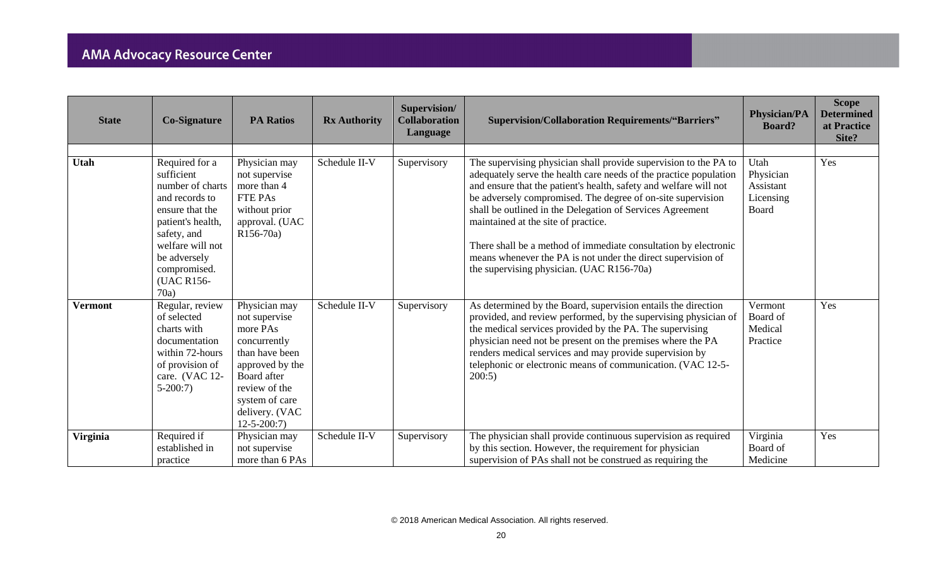| <b>State</b>    | <b>Co-Signature</b>                                                                                                                                                                                 | <b>PA Ratios</b>                                                                                                                                                                        | <b>Rx Authority</b> | Supervision/<br><b>Collaboration</b><br>Language | <b>Supervision/Collaboration Requirements/"Barriers"</b>                                                                                                                                                                                                                                                                                                                                                                                                                                                                                                      | <b>Physician/PA</b><br><b>Board?</b>                 | <b>Scope</b><br><b>Determined</b><br>at Practice<br>Site? |
|-----------------|-----------------------------------------------------------------------------------------------------------------------------------------------------------------------------------------------------|-----------------------------------------------------------------------------------------------------------------------------------------------------------------------------------------|---------------------|--------------------------------------------------|---------------------------------------------------------------------------------------------------------------------------------------------------------------------------------------------------------------------------------------------------------------------------------------------------------------------------------------------------------------------------------------------------------------------------------------------------------------------------------------------------------------------------------------------------------------|------------------------------------------------------|-----------------------------------------------------------|
| Utah            | Required for a<br>sufficient<br>number of charts<br>and records to<br>ensure that the<br>patient's health,<br>safety, and<br>welfare will not<br>be adversely<br>compromised.<br>(UAC R156-<br>70a) | Physician may<br>not supervise<br>more than 4<br><b>FTE PAs</b><br>without prior<br>approval. (UAC<br>R <sub>156</sub> -70a)                                                            | Schedule II-V       | Supervisory                                      | The supervising physician shall provide supervision to the PA to<br>adequately serve the health care needs of the practice population<br>and ensure that the patient's health, safety and welfare will not<br>be adversely compromised. The degree of on-site supervision<br>shall be outlined in the Delegation of Services Agreement<br>maintained at the site of practice.<br>There shall be a method of immediate consultation by electronic<br>means whenever the PA is not under the direct supervision of<br>the supervising physician. (UAC R156-70a) | Utah<br>Physician<br>Assistant<br>Licensing<br>Board | Yes                                                       |
| <b>Vermont</b>  | Regular, review<br>of selected<br>charts with<br>documentation<br>within 72-hours<br>of provision of<br>care. (VAC 12-<br>$5-200:7$                                                                 | Physician may<br>not supervise<br>more PAs<br>concurrently<br>than have been<br>approved by the<br>Board after<br>review of the<br>system of care<br>delivery. (VAC<br>$12 - 5 - 200:7$ | Schedule II-V       | Supervisory                                      | As determined by the Board, supervision entails the direction<br>provided, and review performed, by the supervising physician of<br>the medical services provided by the PA. The supervising<br>physician need not be present on the premises where the PA<br>renders medical services and may provide supervision by<br>telephonic or electronic means of communication. (VAC 12-5-<br>200:5)                                                                                                                                                                | Vermont<br>Board of<br>Medical<br>Practice           | Yes                                                       |
| <b>Virginia</b> | Required if<br>established in<br>practice                                                                                                                                                           | Physician may<br>not supervise<br>more than 6 PAs                                                                                                                                       | Schedule II-V       | Supervisory                                      | The physician shall provide continuous supervision as required<br>by this section. However, the requirement for physician<br>supervision of PAs shall not be construed as requiring the                                                                                                                                                                                                                                                                                                                                                                       | Virginia<br>Board of<br>Medicine                     | Yes                                                       |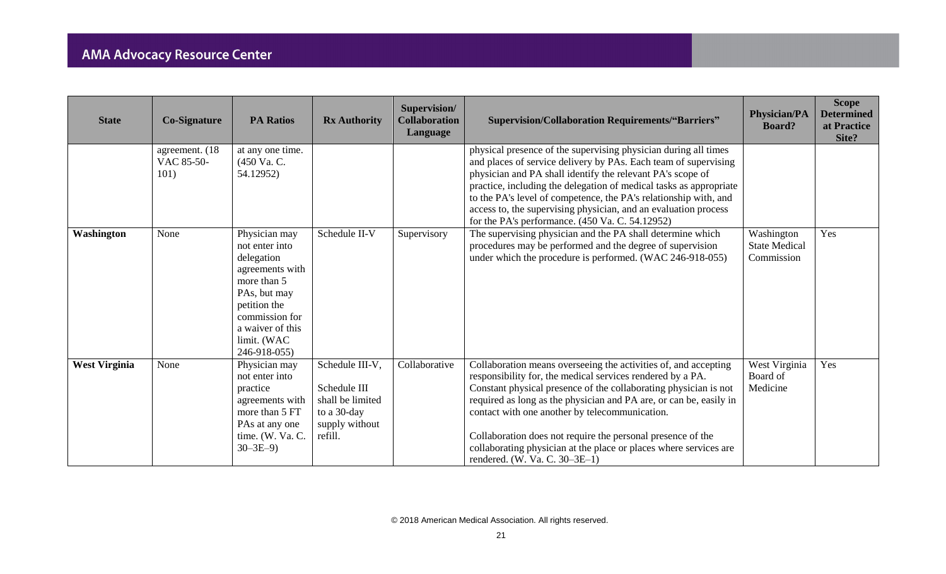| <b>State</b>         | <b>Co-Signature</b>                   | <b>PA Ratios</b>                                                                                                                                                                     | <b>Rx Authority</b>                                                                             | Supervision/<br><b>Collaboration</b><br>Language | <b>Supervision/Collaboration Requirements/"Barriers"</b>                                                                                                                                                                                                                                                                                                                                                                                                                                       | <b>Physician/PA</b><br><b>Board?</b>             | <b>Scope</b><br><b>Determined</b><br>at Practice<br>Site? |
|----------------------|---------------------------------------|--------------------------------------------------------------------------------------------------------------------------------------------------------------------------------------|-------------------------------------------------------------------------------------------------|--------------------------------------------------|------------------------------------------------------------------------------------------------------------------------------------------------------------------------------------------------------------------------------------------------------------------------------------------------------------------------------------------------------------------------------------------------------------------------------------------------------------------------------------------------|--------------------------------------------------|-----------------------------------------------------------|
|                      | agreement. (18)<br>VAC 85-50-<br>101) | at any one time.<br>(450 Va. C.<br>54.12952)                                                                                                                                         |                                                                                                 |                                                  | physical presence of the supervising physician during all times<br>and places of service delivery by PAs. Each team of supervising<br>physician and PA shall identify the relevant PA's scope of<br>practice, including the delegation of medical tasks as appropriate<br>to the PA's level of competence, the PA's relationship with, and<br>access to, the supervising physician, and an evaluation process<br>for the PA's performance. (450 Va. C. 54.12952)                               |                                                  |                                                           |
| Washington           | None                                  | Physician may<br>not enter into<br>delegation<br>agreements with<br>more than 5<br>PAs, but may<br>petition the<br>commission for<br>a waiver of this<br>limit. (WAC<br>246-918-055) | Schedule II-V                                                                                   | Supervisory                                      | The supervising physician and the PA shall determine which<br>procedures may be performed and the degree of supervision<br>under which the procedure is performed. (WAC 246-918-055)                                                                                                                                                                                                                                                                                                           | Washington<br><b>State Medical</b><br>Commission | Yes                                                       |
| <b>West Virginia</b> | None                                  | Physician may<br>not enter into<br>practice<br>agreements with<br>more than 5 FT<br>PAs at any one<br>time. (W. Va. C.<br>$30 - 3E - 9$                                              | Schedule III-V,<br>Schedule III<br>shall be limited<br>to a 30-day<br>supply without<br>refill. | Collaborative                                    | Collaboration means overseeing the activities of, and accepting<br>responsibility for, the medical services rendered by a PA.<br>Constant physical presence of the collaborating physician is not<br>required as long as the physician and PA are, or can be, easily in<br>contact with one another by telecommunication.<br>Collaboration does not require the personal presence of the<br>collaborating physician at the place or places where services are<br>rendered. (W. Va. C. 30–3E–1) | West Virginia<br>Board of<br>Medicine            | Yes                                                       |